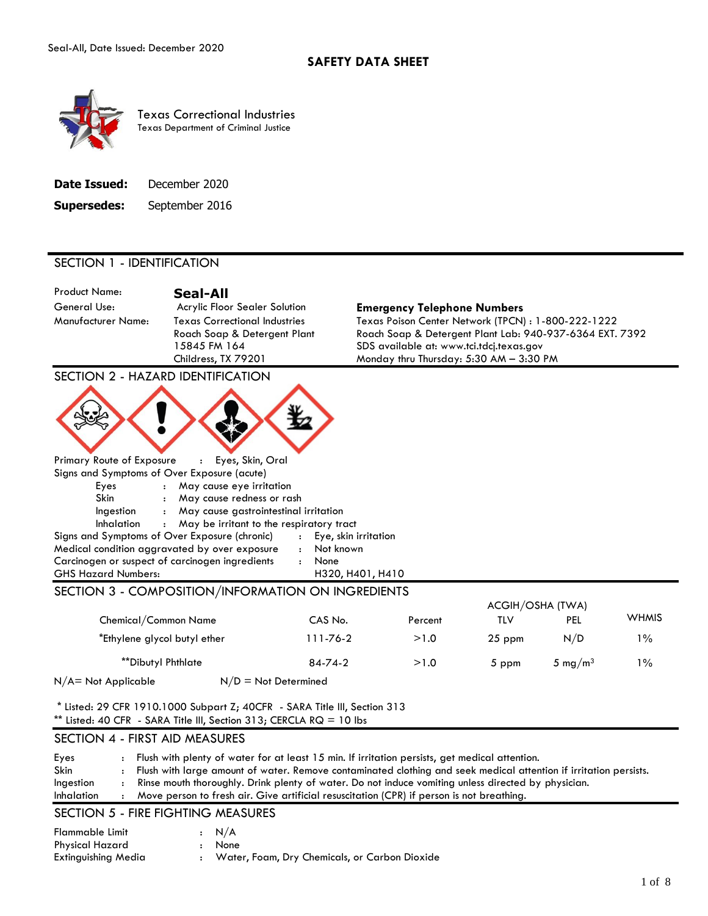

 Texas Department of Criminal Justice Texas Correctional Industries

| Date Issued:       | December 2020  |
|--------------------|----------------|
| <b>Supersedes:</b> | September 2016 |

### SECTION 1 - IDENTIFICATION

Product Name:<br> **Seal-All**<br>
General Use: Acrylic Floo

#### Acrylic Floor Sealer Solution **Emergency Telephone Numbers**

Manufacturer Name: Texas Correctional Industries Texas Poison Center Network (TPCN) : 1-800-222-1222 Roach Soap & Detergent Plant Roach Soap & Detergent Plant Lab: 940-937-6364 EXT. 7392 15845 FM 164 SDS available at: www.tci.tdcj.texas.gov Childress, TX 79201 Monday thru Thursday: 5:30 AM – 3:30 PM



# SECTION 3 - COMPOSITION/INFORMATION ON INGREDIENTS

|                              |  |                        | ACGIH/OSHA (TWA) |          |                     |              |
|------------------------------|--|------------------------|------------------|----------|---------------------|--------------|
| Chemical/Common Name         |  | CAS No.                | Percent          | TLV      | PEL                 | <b>WHMIS</b> |
| *Ethylene glycol butyl ether |  | 111-76-2               | >1.0             | $25$ ppm | N/D                 | 1%           |
| **Dibutyl Phthlate           |  | 84-74-2                | >1.0             | 5 ppm    | 5 mg/m <sup>3</sup> | 1%           |
| $N/A = Not Applicable$       |  | $N/D = Not$ Determined |                  |          |                     |              |

\* Listed: 29 CFR 1910.1000 Subpart Z; 40CFR - SARA Title III, Section 313

 $**$  Listed: 40 CFR - SARA Title III, Section 313; CERCLA RQ = 10 lbs

# SECTION 4 - FIRST AID MEASURES

Eyes : Flush with plenty of water for at least 15 min. If irritation persists, get medical attention. Skin : Flush with large amount of water. Remove contaminated clothing and seek medical attention if irritation persists. Ingestion : Rinse mouth thoroughly. Drink plenty of water. Do not induce vomiting unless directed by physician. Inhalation : Move person to fresh air. Give artificial resuscitation (CPR) if person is not breathing.

#### SECTION 5 - FIRE FIGHTING MEASURES

| Flammable Limit     | $\cdot$ N/A                                   |
|---------------------|-----------------------------------------------|
| Physical Hazard     | : None                                        |
| Extinguishing Media | Water, Foam, Dry Chemicals, or Carbon Dioxide |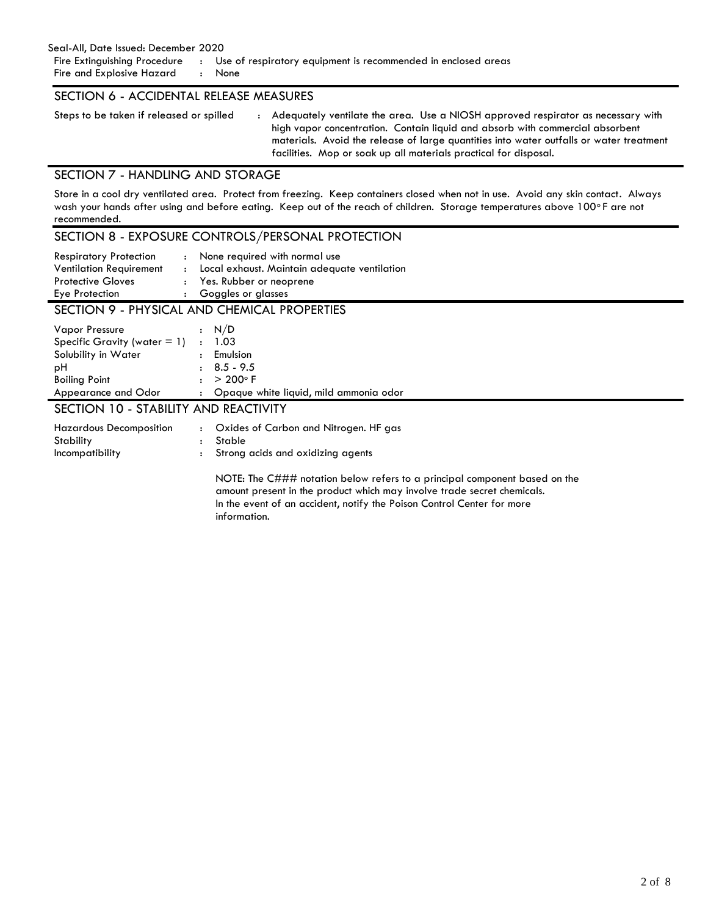Fire and Explosive Hazard : None

Fire Extinguishing Procedure : Use of respiratory equipment is recommended in enclosed areas

# SECTION 6 - ACCIDENTAL RELEASE MEASURES

Steps to be taken if released or spilled

: Adequately ventilate the area. Use a NIOSH approved respirator as necessary with high vapor concentration. Contain liquid and absorb with commercial absorbent materials. Avoid the release of large quantities into water outfalls or water treatment facilities. Mop or soak up all materials practical for disposal.

# SECTION 7 - HANDLING AND STORAGE

wash your hands after using and before eating. Keep out of the reach of children. Storage temperatures above 100°F are not Store in a cool dry ventilated area. Protect from freezing. Keep containers closed when not in use. Avoid any skin contact. Always recommended.

|                                                                                                                                                                                 |                           | SECTION 8 - EXPOSURE CONTROLS/PERSONAL PROTECTION                                                                                                                                                                                               |
|---------------------------------------------------------------------------------------------------------------------------------------------------------------------------------|---------------------------|-------------------------------------------------------------------------------------------------------------------------------------------------------------------------------------------------------------------------------------------------|
| <b>Respiratory Protection</b><br><b>Ventilation Requirement</b><br><b>Protective Gloves</b><br>Eye Protection                                                                   |                           | : None required with normal use<br>: Local exhaust. Maintain adequate ventilation<br>: Yes. Rubber or neoprene<br>Goggles or glasses                                                                                                            |
| SECTION 9 - PHYSICAL AND CHEMICAL PROPERTIES                                                                                                                                    |                           |                                                                                                                                                                                                                                                 |
| Vapor Pressure<br>Specific Gravity (water $= 1$ ) : 1.03<br>Solubility in Water<br>рH<br><b>Boiling Point</b><br>Appearance and Odor :<br>SECTION 10 - STABILITY AND REACTIVITY | $\ddot{\cdot}$            | : N/D<br>: Emulsion<br>$8.5 - 9.5$<br>$> 200^\circ$ F<br>Opaque white liquid, mild ammonia odor                                                                                                                                                 |
| <b>Hazardous Decomposition</b><br>Stability<br>Incompatibility                                                                                                                  | $\ddot{\cdot}$<br>$\cdot$ | Oxides of Carbon and Nitrogen. HF gas<br>Stable<br>Strong acids and oxidizing agents                                                                                                                                                            |
|                                                                                                                                                                                 |                           | NOTE: The C### notation below refers to a principal component based on the<br>amount present in the product which may involve trade secret chemicals.<br>In the event of an accident, notify the Poison Control Center for more<br>information. |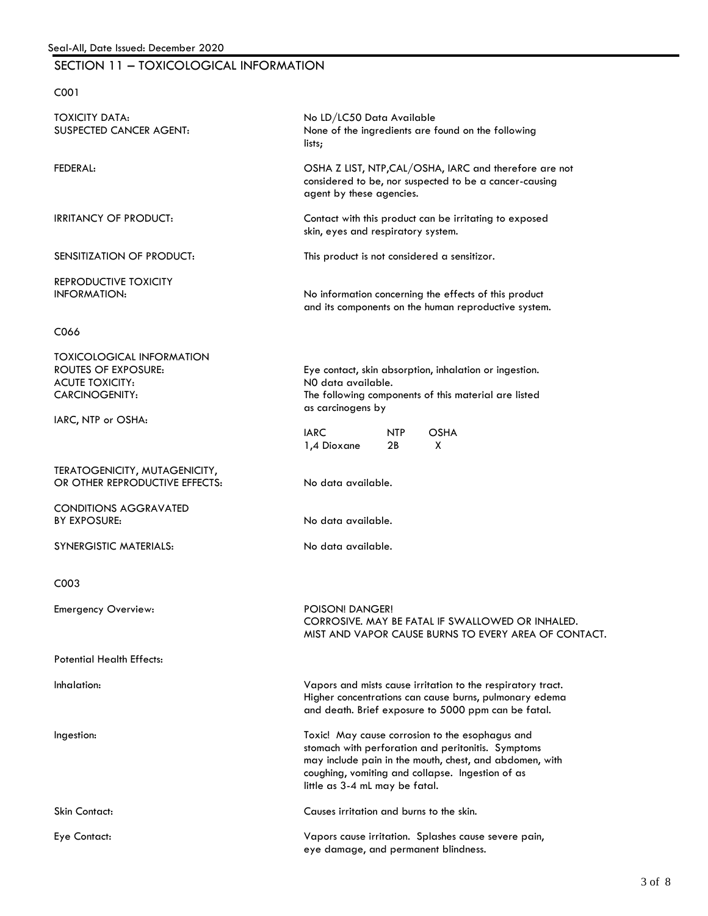#### SECTION 11 – TOXICOLOGICAL INFORMATION

| ×<br>w<br>۰,<br>۰.<br>۰.<br>×<br>× |
|------------------------------------|
|------------------------------------|

| <b>UVV</b>                                                                                                                |                                                                                                                                                                                                                                                        |
|---------------------------------------------------------------------------------------------------------------------------|--------------------------------------------------------------------------------------------------------------------------------------------------------------------------------------------------------------------------------------------------------|
| TOXICITY DATA:<br><b>SUSPECTED CANCER AGENT:</b>                                                                          | No LD/LC50 Data Available<br>None of the ingredients are found on the following<br>lists;                                                                                                                                                              |
| FEDERAL:                                                                                                                  | OSHA Z LIST, NTP, CAL/OSHA, IARC and therefore are not<br>considered to be, nor suspected to be a cancer-causing<br>agent by these agencies.                                                                                                           |
| <b>IRRITANCY OF PRODUCT:</b>                                                                                              | Contact with this product can be irritating to exposed<br>skin, eyes and respiratory system.                                                                                                                                                           |
| SENSITIZATION OF PRODUCT:                                                                                                 | This product is not considered a sensitizor.                                                                                                                                                                                                           |
| REPRODUCTIVE TOXICITY<br><b>INFORMATION:</b>                                                                              | No information concerning the effects of this product<br>and its components on the human reproductive system.                                                                                                                                          |
| C066                                                                                                                      |                                                                                                                                                                                                                                                        |
| <b>TOXICOLOGICAL INFORMATION</b><br>ROUTES OF EXPOSURE:<br><b>ACUTE TOXICITY:</b><br>CARCINOGENITY:<br>IARC, NTP or OSHA: | Eye contact, skin absorption, inhalation or ingestion.<br>NO data available.<br>The following components of this material are listed<br>as carcinogens by                                                                                              |
|                                                                                                                           | <b>IARC</b><br><b>OSHA</b><br>NTP<br>1,4 Dioxane<br>2B<br>X                                                                                                                                                                                            |
| TERATOGENICITY, MUTAGENICITY,<br>OR OTHER REPRODUCTIVE EFFECTS:                                                           | No data available.                                                                                                                                                                                                                                     |
| <b>CONDITIONS AGGRAVATED</b><br>BY EXPOSURE:                                                                              | No data available.                                                                                                                                                                                                                                     |
| SYNERGISTIC MATERIALS:                                                                                                    | No data available.                                                                                                                                                                                                                                     |
| C003                                                                                                                      |                                                                                                                                                                                                                                                        |
| Emergency Overview:                                                                                                       | POISON! DANGER!<br>CORROSIVE. MAY BE FATAL IF SWALLOWED OR INHALED.<br>MIST AND VAPOR CAUSE BURNS TO EVERY AREA OF CONTACT.                                                                                                                            |
| <b>Potential Health Effects:</b>                                                                                          |                                                                                                                                                                                                                                                        |
| Inhalation:                                                                                                               | Vapors and mists cause irritation to the respiratory tract.<br>Higher concentrations can cause burns, pulmonary edema<br>and death. Brief exposure to 5000 ppm can be fatal.                                                                           |
| Ingestion:                                                                                                                | Toxic! May cause corrosion to the esophagus and<br>stomach with perforation and peritonitis. Symptoms<br>may include pain in the mouth, chest, and abdomen, with<br>coughing, vomiting and collapse. Ingestion of as<br>little as 3-4 mL may be fatal. |
| Skin Contact:                                                                                                             | Causes irritation and burns to the skin.                                                                                                                                                                                                               |
| Eye Contact:                                                                                                              | Vapors cause irritation. Splashes cause severe pain,<br>eye damage, and permanent blindness.                                                                                                                                                           |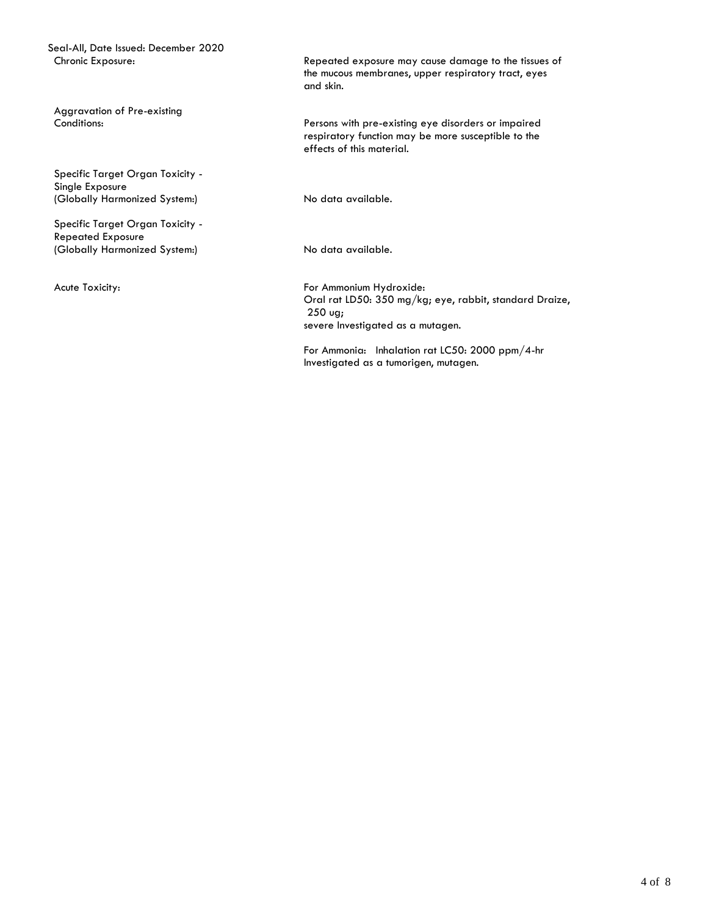Seal-All, Date Issued: December 2020

Aggravation of Pre-existing

(Globally Harmonized System:) No data available. Specific Target Organ Toxicity -Single Exposure

(Globally Harmonized System:) No data available. Specific Target Organ Toxicity - Repeated Exposure

 Chronic Exposure: Repeated exposure may cause damage to the tissues of the mucous membranes, upper respiratory tract, eyes and skin.

 Conditions: Persons with pre-existing eye disorders or impaired respiratory function may be more susceptible to the effects of this material.

Acute Toxicity: Acute Toxicity: For Ammonium Hydroxide: Oral rat LD50: 350 mg/kg; eye, rabbit, standard Draize, 250 ug; severe Investigated as a mutagen.

> For Ammonia: Inhalation rat LC50: 2000 ppm/4-hr Investigated as a tumorigen, mutagen.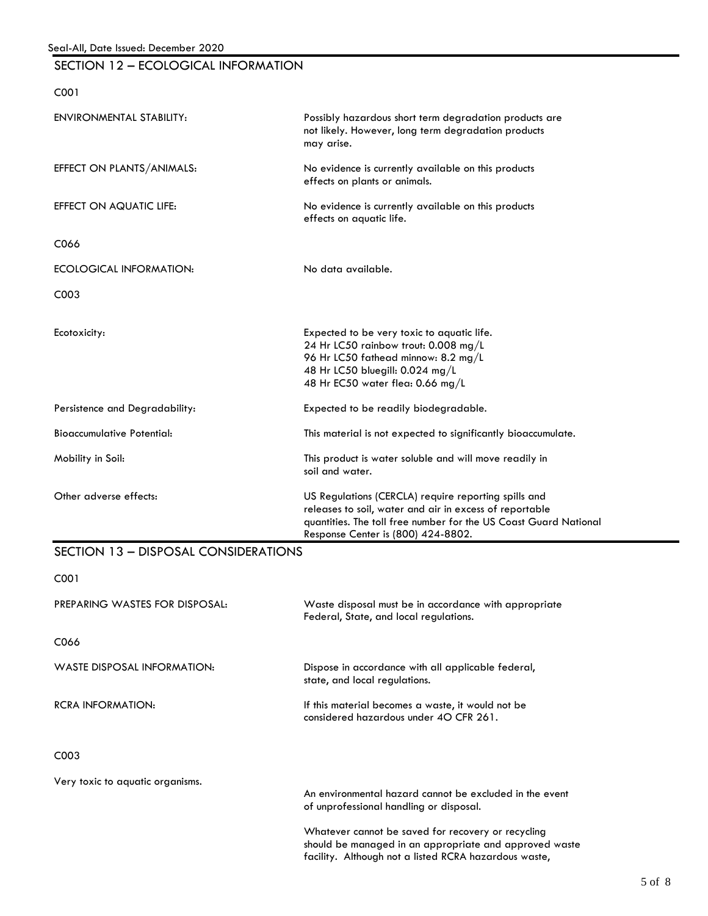#### SECTION 12 – ECOLOGICAL INFORMATION

| <b>ENVIRONMENTAL STABILITY:</b>   | Possibly hazardous short term degradation products are<br>not likely. However, long term degradation products<br>may arise.                                                                                               |
|-----------------------------------|---------------------------------------------------------------------------------------------------------------------------------------------------------------------------------------------------------------------------|
| EFFECT ON PLANTS/ANIMALS:         | No evidence is currently available on this products<br>effects on plants or animals.                                                                                                                                      |
| EFFECT ON AQUATIC LIFE:           | No evidence is currently available on this products<br>effects on aquatic life.                                                                                                                                           |
| C066                              |                                                                                                                                                                                                                           |
| ECOLOGICAL INFORMATION:           | No data available.                                                                                                                                                                                                        |
| C003                              |                                                                                                                                                                                                                           |
| Ecotoxicity:                      | Expected to be very toxic to aquatic life.<br>24 Hr LC50 rainbow trout: 0.008 mg/L<br>96 Hr LC50 fathead minnow: 8.2 mg/L<br>48 Hr LC50 bluegill: 0.024 mg/L<br>48 Hr EC50 water flea: 0.66 mg/L                          |
| Persistence and Degradability:    | Expected to be readily biodegradable.                                                                                                                                                                                     |
| <b>Bioaccumulative Potential:</b> | This material is not expected to significantly bioaccumulate.                                                                                                                                                             |
| Mobility in Soil:                 | This product is water soluble and will move readily in<br>soil and water.                                                                                                                                                 |
| Other adverse effects:            | US Regulations (CERCLA) require reporting spills and<br>releases to soil, water and air in excess of reportable<br>quantities. The toll free number for the US Coast Guard National<br>Response Center is (800) 424-8802. |

### SECTION 13 – DISPOSAL CONSIDERATIONS

C001

| PREPARING WASTES FOR DISPOSAL:   | Waste disposal must be in accordance with appropriate<br>Federal, State, and local regulations.                                                          |
|----------------------------------|----------------------------------------------------------------------------------------------------------------------------------------------------------|
| C066                             |                                                                                                                                                          |
| WASTE DISPOSAL INFORMATION:      | Dispose in accordance with all applicable federal,<br>state, and local regulations.                                                                      |
| <b>RCRA INFORMATION:</b>         | If this material becomes a waste, it would not be<br>considered hazardous under 40 CFR 261.                                                              |
| C <sub>0</sub> 03                |                                                                                                                                                          |
| Very toxic to aquatic organisms. | An environmental hazard cannot be excluded in the event<br>of unprofessional handling or disposal.<br>Whatever cannot be saved for recovery or recycling |
|                                  | should be managed in an appropriate and approved waste<br>facility. Although not a listed RCRA hazardous waste,                                          |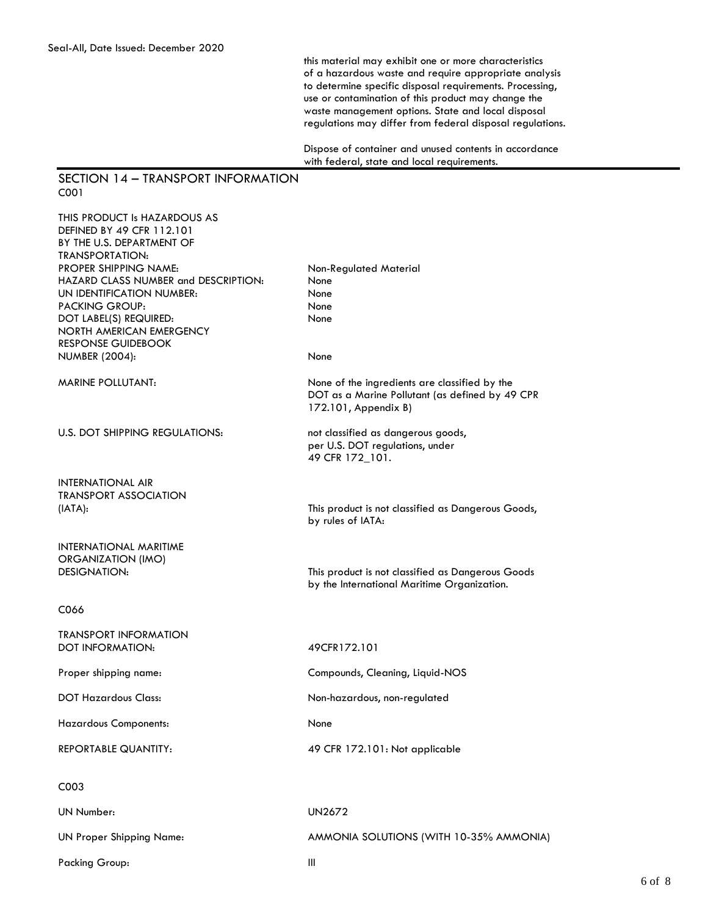this material may exhibit one or more characteristics of a hazardous waste and require appropriate analysis to determine specific disposal requirements. Processing, use or contamination of this product may change the waste management options. State and local disposal regulations may differ from federal disposal regulations.

Dispose of container and unused contents in accordance with federal, state and local requirements.

#### SECTION 14 – TRANSPORT INFORMATION C001

| THIS PRODUCT Is HAZARDOUS AS<br>DEFINED BY 49 CFR 112.101 |                                                                                                                          |
|-----------------------------------------------------------|--------------------------------------------------------------------------------------------------------------------------|
| BY THE U.S. DEPARTMENT OF                                 |                                                                                                                          |
| <b>TRANSPORTATION:</b><br><b>PROPER SHIPPING NAME:</b>    | Non-Regulated Material                                                                                                   |
| HAZARD CLASS NUMBER and DESCRIPTION:                      | None                                                                                                                     |
| UN IDENTIFICATION NUMBER:                                 | None                                                                                                                     |
| <b>PACKING GROUP:</b>                                     | None                                                                                                                     |
| DOT LABEL(S) REQUIRED:                                    | None                                                                                                                     |
| NORTH AMERICAN EMERGENCY                                  |                                                                                                                          |
| <b>RESPONSE GUIDEBOOK</b><br><b>NUMBER (2004):</b>        | None                                                                                                                     |
|                                                           |                                                                                                                          |
| <b>MARINE POLLUTANT:</b>                                  | None of the ingredients are classified by the<br>DOT as a Marine Pollutant (as defined by 49 CPR<br>172.101, Appendix B) |
| U.S. DOT SHIPPING REGULATIONS:                            | not classified as dangerous goods,                                                                                       |
|                                                           | per U.S. DOT regulations, under                                                                                          |
|                                                           | 49 CFR 172 101.                                                                                                          |
| <b>INTERNATIONAL AIR</b>                                  |                                                                                                                          |
| <b>TRANSPORT ASSOCIATION</b>                              |                                                                                                                          |
| (IATA):                                                   | This product is not classified as Dangerous Goods,                                                                       |
|                                                           | by rules of IATA:                                                                                                        |
| <b>INTERNATIONAL MARITIME</b>                             |                                                                                                                          |
| <b>ORGANIZATION (IMO)</b>                                 |                                                                                                                          |
| <b>DESIGNATION:</b>                                       | This product is not classified as Dangerous Goods                                                                        |
|                                                           | by the International Maritime Organization.                                                                              |
| C066                                                      |                                                                                                                          |
| <b>TRANSPORT INFORMATION</b>                              |                                                                                                                          |
| <b>DOT INFORMATION:</b>                                   | 49CFR172.101                                                                                                             |
| Proper shipping name:                                     | Compounds, Cleaning, Liquid-NOS                                                                                          |
| <b>DOT Hazardous Class:</b>                               | Non-hazardous, non-regulated                                                                                             |
| <b>Hazardous Components:</b>                              | None                                                                                                                     |
| <b>REPORTABLE QUANTITY:</b>                               | 49 CFR 172.101: Not applicable                                                                                           |
| C003                                                      |                                                                                                                          |
| <b>UN Number:</b>                                         | <b>UN2672</b>                                                                                                            |
| <b>UN Proper Shipping Name:</b>                           | AMMONIA SOLUTIONS (WITH 10-35% AMMONIA)                                                                                  |
| Packing Group:                                            | Ш                                                                                                                        |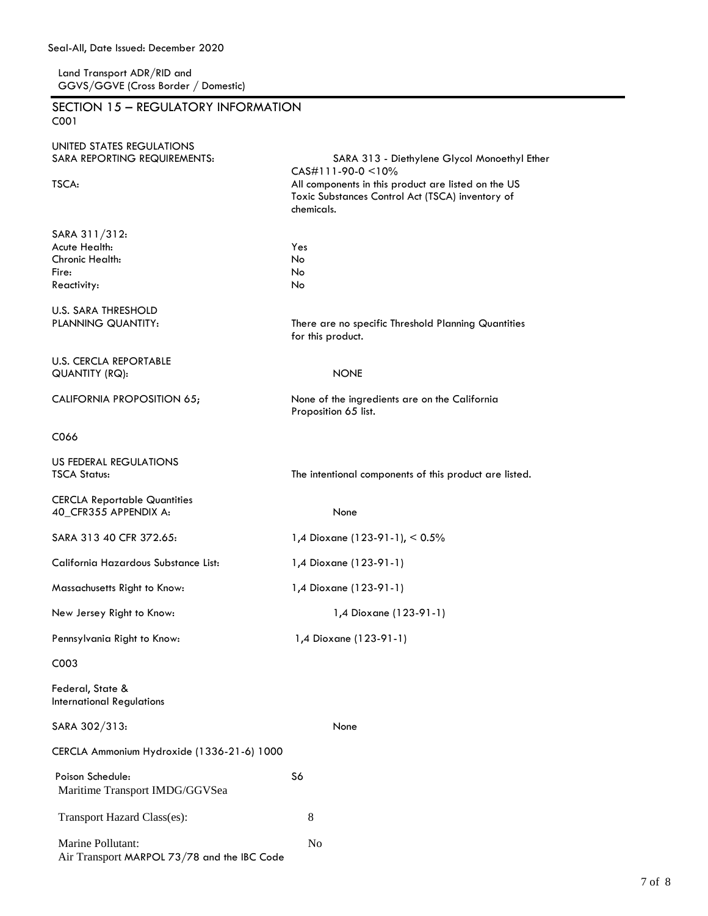Land Transport ADR/RID and

| GGVS/GGVE (Cross Border / Domestic)                                       |                                                                                                                                                                                               |
|---------------------------------------------------------------------------|-----------------------------------------------------------------------------------------------------------------------------------------------------------------------------------------------|
| <b>SECTION 15 - REGULATORY INFORMATION</b><br>C001                        |                                                                                                                                                                                               |
| UNITED STATES REGULATIONS<br>SARA REPORTING REQUIREMENTS:<br>TSCA:        | SARA 313 - Diethylene Glycol Monoethyl Ether<br>$CAS#111-90-0 < 10%$<br>All components in this product are listed on the US<br>Toxic Substances Control Act (TSCA) inventory of<br>chemicals. |
| SARA 311/312:<br>Acute Health:<br>Chronic Health:<br>Fire:<br>Reactivity: | Yes<br>No<br>No<br>No                                                                                                                                                                         |
| U.S. SARA THRESHOLD<br>PLANNING QUANTITY:                                 | There are no specific Threshold Planning Quantities<br>for this product.                                                                                                                      |
| U.S. CERCLA REPORTABLE<br>QUANTITY (RQ):                                  | <b>NONE</b>                                                                                                                                                                                   |
| CALIFORNIA PROPOSITION 65;                                                | None of the ingredients are on the California<br>Proposition 65 list.                                                                                                                         |
| C066                                                                      |                                                                                                                                                                                               |
| US FEDERAL REGULATIONS<br><b>TSCA Status:</b>                             | The intentional components of this product are listed.                                                                                                                                        |
| <b>CERCLA Reportable Quantities</b><br>40_CFR355 APPENDIX A:              | None                                                                                                                                                                                          |
| SARA 313 40 CFR 372.65:                                                   | 1,4 Dioxane (123-91-1), < 0.5%                                                                                                                                                                |
| California Hazardous Substance List:                                      | 1,4 Dioxane (123-91-1)                                                                                                                                                                        |
| Massachusetts Right to Know:                                              | 1,4 Dioxane (123-91-1)                                                                                                                                                                        |
| New Jersey Right to Know:                                                 | 1,4 Dioxane (123-91-1)                                                                                                                                                                        |
| Pennsylvania Right to Know:                                               | 1,4 Dioxane (123-91-1)                                                                                                                                                                        |
| C003                                                                      |                                                                                                                                                                                               |
| Federal, State &<br>International Regulations                             |                                                                                                                                                                                               |
| SARA 302/313:                                                             | None                                                                                                                                                                                          |
| CERCLA Ammonium Hydroxide (1336-21-6) 1000                                |                                                                                                                                                                                               |
| Poison Schedule:<br>Maritime Transport IMDG/GGVSea                        | S6                                                                                                                                                                                            |
| Transport Hazard Class(es):                                               | 8                                                                                                                                                                                             |
| Marine Pollutant:<br>Air Transport MARPOL 73/78 and the IBC Code          | No                                                                                                                                                                                            |